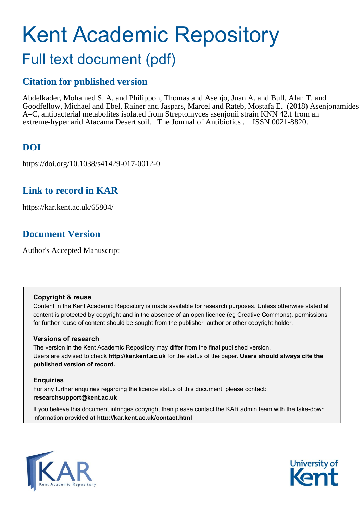# Kent Academic Repository Full text document (pdf)

# **Citation for published version**

Abdelkader, Mohamed S. A. and Philippon, Thomas and Asenjo, Juan A. and Bull, Alan T. and Goodfellow, Michael and Ebel, Rainer and Jaspars, Marcel and Rateb, Mostafa E. (2018) Asenjonamides A–C, antibacterial metabolites isolated from Streptomyces asenjonii strain KNN 42.f from an extreme-hyper arid Atacama Desert soil. The Journal of Antibiotics . ISSN 0021-8820.

# **DOI**

https://doi.org/10.1038/s41429-017-0012-0

# **Link to record in KAR**

https://kar.kent.ac.uk/65804/

# **Document Version**

Author's Accepted Manuscript

## **Copyright & reuse**

Content in the Kent Academic Repository is made available for research purposes. Unless otherwise stated all content is protected by copyright and in the absence of an open licence (eg Creative Commons), permissions for further reuse of content should be sought from the publisher, author or other copyright holder.

## **Versions of research**

The version in the Kent Academic Repository may differ from the final published version. Users are advised to check **http://kar.kent.ac.uk** for the status of the paper. **Users should always cite the published version of record.**

## **Enquiries**

For any further enquiries regarding the licence status of this document, please contact: **researchsupport@kent.ac.uk**

If you believe this document infringes copyright then please contact the KAR admin team with the take-down information provided at **http://kar.kent.ac.uk/contact.html**



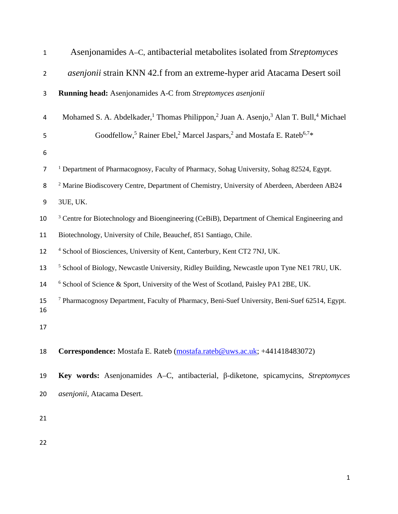| $\mathbf{1}$   | Asenjonamides A–C, antibacterial metabolites isolated from Streptomyces                                                               |
|----------------|---------------------------------------------------------------------------------------------------------------------------------------|
| $\overline{2}$ | asenjonii strain KNN 42.f from an extreme-hyper arid Atacama Desert soil                                                              |
| 3              | <b>Running head:</b> Asenjonamides A-C from Streptomyces asenjonii                                                                    |
| 4              | Mohamed S. A. Abdelkader, <sup>1</sup> Thomas Philippon, <sup>2</sup> Juan A. Asenjo, <sup>3</sup> Alan T. Bull, <sup>4</sup> Michael |
| 5              | Goodfellow, <sup>5</sup> Rainer Ebel, <sup>2</sup> Marcel Jaspars, <sup>2</sup> and Mostafa E. Rateb <sup>6,7*</sup>                  |
| 6              |                                                                                                                                       |
| $\overline{7}$ | <sup>1</sup> Department of Pharmacognosy, Faculty of Pharmacy, Sohag University, Sohag 82524, Egypt.                                  |
| 8              | <sup>2</sup> Marine Biodiscovery Centre, Department of Chemistry, University of Aberdeen, Aberdeen AB24                               |
| 9              | 3UE, UK.                                                                                                                              |
| 10             | <sup>3</sup> Centre for Biotechnology and Bioengineering (CeBiB), Department of Chemical Engineering and                              |
| 11             | Biotechnology, University of Chile, Beauchef, 851 Santiago, Chile.                                                                    |
| 12             | <sup>4</sup> School of Biosciences, University of Kent, Canterbury, Kent CT2 7NJ, UK.                                                 |
| 13             | <sup>5</sup> School of Biology, Newcastle University, Ridley Building, Newcastle upon Tyne NE1 7RU, UK.                               |
| 14             | <sup>6</sup> School of Science & Sport, University of the West of Scotland, Paisley PA1 2BE, UK.                                      |
| 15<br>16       | <sup>7</sup> Pharmacognosy Department, Faculty of Pharmacy, Beni-Suef University, Beni-Suef 62514, Egypt.                             |
| 17             |                                                                                                                                       |
| 18             | Correspondence: Mostafa E. Rateb (mostafa.rateb@uws.ac.uk; +441418483072)                                                             |
| 19             | Key words: Asenjonamides A–C, antibacterial, β-diketone, spicamycins, Streptomyces                                                    |
| 20             | asenjonii, Atacama Desert.                                                                                                            |
| 21             |                                                                                                                                       |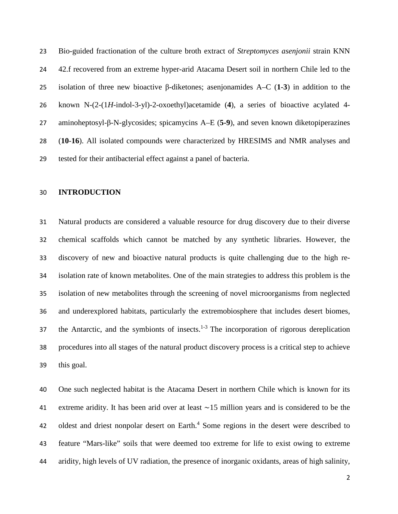Bio-guided fractionation of the culture broth extract of *Streptomyces asenjonii* strain KNN 42.f recovered from an extreme hyper-arid Atacama Desert soil in northern Chile led to the isolation of three new bioactive β-diketones; asenjonamides A–C (**1**-**3**) in addition to the known N-(2-(1*H*-indol-3-yl)-2-oxoethyl)acetamide (**4**), a series of bioactive acylated 4- aminoheptosyl-β-N-glycosides; spicamycins A–E (**5-9**), and seven known diketopiperazines (**10**-**16**). All isolated compounds were characterized by HRESIMS and NMR analyses and tested for their antibacterial effect against a panel of bacteria.

#### **INTRODUCTION**

 Natural products are considered a valuable resource for drug discovery due to their diverse chemical scaffolds which cannot be matched by any synthetic libraries. However, the discovery of new and bioactive natural products is quite challenging due to the high re- isolation rate of known metabolites. One of the main strategies to address this problem is the isolation of new metabolites through the screening of novel microorganisms from neglected and underexplored habitats, particularly the extremobiosphere that includes desert biomes, 37 the Antarctic, and the symbionts of insects. $1-3$  The incorporation of rigorous dereplication procedures into all stages of the natural product discovery process is a critical step to achieve this goal.

 One such neglected habitat is the Atacama Desert in northern Chile which is known for its extreme aridity. It has been arid over at least ∼15 million years and is considered to be the 42 oldest and driest nonpolar desert on Earth.<sup>4</sup> Some regions in the desert were described to feature "Mars-like" soils that were deemed too extreme for life to exist owing to extreme aridity, high levels of UV radiation, the presence of inorganic oxidants, areas of high salinity,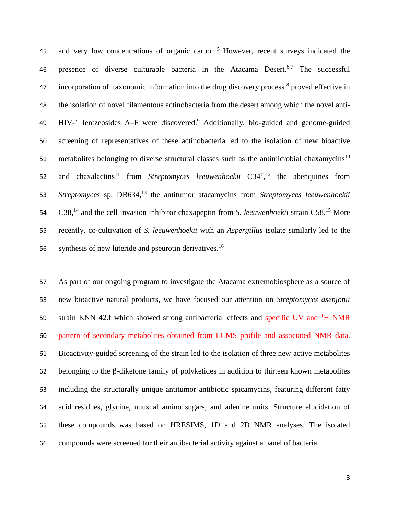45 and very low concentrations of organic carbon.<sup>5</sup> However, recent surveys indicated the 46 presence of diverse culturable bacteria in the Atacama Desert.<sup>6,7</sup> The successful  $\mu$  incorporation of taxonomic information into the drug discovery process  $\delta$  proved effective in 48 the isolation of novel filamentous actinobacteria from the desert among which the novel anti-49 HIV-1 lentzeosides A–F were discovered.<sup>9</sup> Additionally, bio-guided and genome-guided 50 screening of representatives of these actinobacteria led to the isolation of new bioactive 51 metabolites belonging to diverse structural classes such as the antimicrobial chaxamycins<sup>10</sup> 52 and chaxalactins<sup>11</sup> from *Streptomyces leeuwenhoekii*  $C34<sup>T</sup>,<sup>12</sup>$  the abenquines from 53 *Streptomyces* sp. DB634,<sup>13</sup> the antitumor atacamycins from *Streptomyces leeuwenhoekii* 54 C38,<sup>14</sup> and the cell invasion inhibitor chaxapeptin from *S. leeuwenhoekii* strain C58.<sup>15</sup> More 55 recently, co-cultivation of *S. leeuwenhoekii* with an *Aspergillus* isolate similarly led to the 56 synthesis of new luteride and pseurotin derivatives.<sup>16</sup>

 As part of our ongoing program to investigate the Atacama extremobiosphere as a source of new bioactive natural products, we have focused our attention on *Streptomyces asenjonii* 59 strain KNN 42.f which showed strong antibacterial effects and specific UV and <sup>1</sup>H NMR pattern of secondary metabolites obtained from LCMS profile and associated NMR data. Bioactivity-guided screening of the strain led to the isolation of three new active metabolites belonging to the β-diketone family of polyketides in addition to thirteen known metabolites including the structurally unique antitumor antibiotic spicamycins, featuring different fatty acid residues, glycine, unusual amino sugars, and adenine units. Structure elucidation of these compounds was based on HRESIMS, 1D and 2D NMR analyses. The isolated compounds were screened for their antibacterial activity against a panel of bacteria.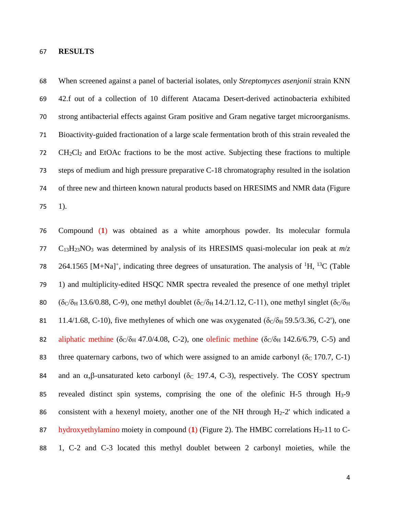#### **RESULTS**

 When screened against a panel of bacterial isolates, only *Streptomyces asenjonii* strain KNN 42.f out of a collection of 10 different Atacama Desert-derived actinobacteria exhibited strong antibacterial effects against Gram positive and Gram negative target microorganisms. Bioactivity-guided fractionation of a large scale fermentation broth of this strain revealed the CH2Cl2 and EtOAc fractions to be the most active. Subjecting these fractions to multiple steps of medium and high pressure preparative C-18 chromatography resulted in the isolation of three new and thirteen known natural products based on HRESIMS and NMR data (Figure 75 ).

 Compound (**1**) was obtained as a white amorphous powder. Its molecular formula 77 C<sub>13</sub>H<sub>23</sub>NO<sub>3</sub> was determined by analysis of its HRESIMS quasi-molecular ion peak at  $m/z$ 78 264.1565 [M+Na]<sup>+</sup>, indicating three degrees of unsaturation. The analysis of <sup>1</sup>H, <sup>13</sup>C (Table 1) and multiplicity-edited HSQC NMR spectra revealed the presence of one methyl triplet 80 ( $\delta$ C/ $\delta$ H 13.6/0.88, C-9), one methyl doublet ( $\delta$ C/ $\delta$ H 14.2/1.12, C-11), one methyl singlet ( $\delta$ C/ $\delta$ H 81 11.4/1.68, C-10), five methylenes of which one was oxygenated  $(\delta_C/\delta_H 59.5/3.36, C-2')$ , one 82 aliphatic methine ( $\delta$ C/ $\delta$ H 47.0/4.08, C-2), one olefinic methine ( $\delta$ C/ $\delta$ H 142.6/6.79, C-5) and 83 three quaternary carbons, two of which were assigned to an amide carbonyl ( $\delta_c$  170.7, C-1) 84 and an  $\alpha$ ,β-unsaturated keto carbonyl ( $\delta$ c 197.4, C-3), respectively. The COSY spectrum revealed distinct spin systems, comprising the one of the olefinic H-5 through H3-9 86 consistent with a hexenyl moiety, another one of the NH through  $H_2-2'$  which indicated a hydroxyethylamino moiety in compound (**1**) (Figure 2). The HMBC correlations H3-11 to C-1, C-2 and C-3 located this methyl doublet between 2 carbonyl moieties, while the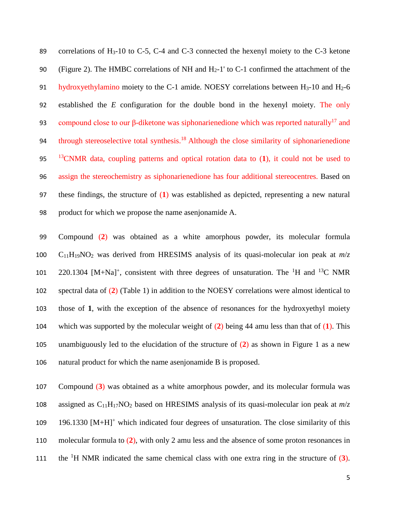89 correlations of H<sub>3</sub>-10 to C-5, C-4 and C-3 connected the hexenyl moiety to the C-3 ketone 90 (Figure 2). The HMBC correlations of NH and  $H<sub>2</sub>$ -1' to C-1 confirmed the attachment of the 91 hydroxyethylamino moiety to the C-1 amide. NOESY correlations between  $H_3$ -10 and  $H_2$ -6 92 established the *E* configuration for the double bond in the hexenyl moiety. The only 93 compound close to our β-diketone was siphonarienedione which was reported naturally<sup>17</sup> and 94 through stereoselective total synthesis.<sup>18</sup> Although the close similarity of siphonarienedione <sup>13</sup> 95 CNMR data, coupling patterns and optical rotation data to (**1**), it could not be used to 96 assign the stereochemistry as siphonarienedione has four additional stereocentres. Based on 97 these findings, the structure of (**1**) was established as depicted, representing a new natural 98 product for which we propose the name asenjonamide A.

 Compound (**2**) was obtained as a white amorphous powder, its molecular formula 100 C<sub>11</sub>H<sub>19</sub>NO<sub>2</sub> was derived from HRESIMS analysis of its quasi-molecular ion peak at  $m/z$ 101 220.1304 [M+Na]<sup>+</sup>, consistent with three degrees of unsaturation. The <sup>1</sup>H and <sup>13</sup>C NMR spectral data of (**2**) (Table 1) in addition to the NOESY correlations were almost identical to those of **1**, with the exception of the absence of resonances for the hydroxyethyl moiety which was supported by the molecular weight of (**2**) being 44 amu less than that of (**1**). This unambiguously led to the elucidation of the structure of (**2**) as shown in Figure 1 as a new natural product for which the name asenjonamide B is proposed.

107 Compound (**3**) was obtained as a white amorphous powder, and its molecular formula was 108 assigned as  $C_{11}H_{17}NO_2$  based on HRESIMS analysis of its quasi-molecular ion peak at  $m/z$ 109 196.1330 [M+H]<sup>+</sup> which indicated four degrees of unsaturation. The close similarity of this 110 molecular formula to (**2**), with only 2 amu less and the absence of some proton resonances in the  ${}^{1}H$  NMR indicated the same chemical class with one extra ring in the structure of  $(3)$ .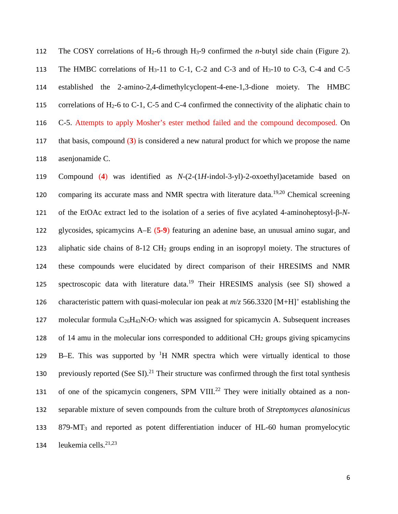The COSY correlations of H2-6 through H3-9 confirmed the *n*-butyl side chain (Figure 2). 113 The HMBC correlations of  $H_3$ -11 to C-1, C-2 and C-3 and of  $H_3$ -10 to C-3, C-4 and C-5 established the 2-amino-2,4-dimethylcyclopent-4-ene-1,3-dione moiety. The HMBC 115 correlations of H<sub>2</sub>-6 to C-1, C-5 and C-4 confirmed the connectivity of the aliphatic chain to C-5. Attempts to apply Mosher's ester method failed and the compound decomposed. On that basis, compound (**3**) is considered a new natural product for which we propose the name asenjonamide C.

119 Compound (**4**) was identified as *N*-(2-(1*H*-indol-3-yl)-2-oxoethyl)acetamide based on 120 comparing its accurate mass and NMR spectra with literature data.<sup>19,20</sup> Chemical screening 121 of the EtOAc extract led to the isolation of a series of five acylated 4-aminoheptosyl-β-*N*-122 glycosides, spicamycins A–E (**5-9**) featuring an adenine base, an unusual amino sugar, and 123 aliphatic side chains of 8-12 CH<sub>2</sub> groups ending in an isopropyl moiety. The structures of 124 these compounds were elucidated by direct comparison of their HRESIMS and NMR 125 spectroscopic data with literature data.<sup>19</sup> Their HRESIMS analysis (see SI) showed a characteristic pattern with quasi-molecular ion peak at  $m/z$  566.3320 [M+H]<sup>+</sup> establishing the 127 molecular formula  $C_{26}H_{43}N_7O_7$  which was assigned for spicamycin A. Subsequent increases 128 of 14 amu in the molecular ions corresponded to additional  $CH<sub>2</sub>$  groups giving spicamycins 129 B–E. This was supported by  ${}^{1}H$  NMR spectra which were virtually identical to those 130 previously reported (See SI).<sup>21</sup> Their structure was confirmed through the first total synthesis 131 of one of the spicamycin congeners, SPM VIII.<sup>22</sup> They were initially obtained as a non-132 separable mixture of seven compounds from the culture broth of *Streptomyces alanosinicus* 133 879-MT3 and reported as potent differentiation inducer of HL-60 human promyelocytic 134 leukemia cells. $2^{1,23}$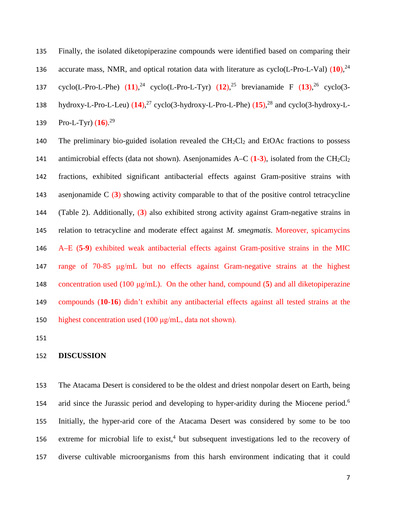Finally, the isolated diketopiperazine compounds were identified based on comparing their accurate mass, NMR, and optical rotation data with literature as cyclo(L-Pro-L-Val) (**10**), <sup>24</sup> 137 cyclo(L-Pro-L-Phe)  $(11)$ ,<sup>24</sup> cyclo(L-Pro-L-Tyr)  $(12)$ ,<sup>25</sup> brevianamide F  $(13)$ ,<sup>26</sup> cyclo(3hydroxy-L-Pro-L-Leu) (**14**), <sup>27</sup> cyclo(3-hydroxy-L-Pro-L-Phe) (**15**), <sup>28</sup> and cyclo(3-hydroxy-L-139 Pro-L-Tyr) (**16**).<sup>29</sup>

140 The preliminary bio-guided isolation revealed the CH<sub>2</sub>Cl<sub>2</sub> and EtOAc fractions to possess 141 antimicrobial effects (data not shown). Asenjonamides  $A-C(1-3)$ , isolated from the  $CH_2Cl_2$  fractions, exhibited significant antibacterial effects against Gram-positive strains with asenjonamide C (**3**) showing activity comparable to that of the positive control tetracycline (Table 2). Additionally, (**3**) also exhibited strong activity against Gram-negative strains in relation to tetracycline and moderate effect against *M. smegmatis*. Moreover, spicamycins A–E (**5**-**9**) exhibited weak antibacterial effects against Gram-positive strains in the MIC range of 70-85 μg/mL but no effects against Gram-negative strains at the highest concentration used (100 μg/mL). On the other hand, compound (**5**) and all diketopiperazine compounds (**10**-**16**) didn't exhibit any antibacterial effects against all tested strains at the highest concentration used (100 μg/mL, data not shown).

#### **DISCUSSION**

 The Atacama Desert is considered to be the oldest and driest nonpolar desert on Earth, being 154 arid since the Jurassic period and developing to hyper-aridity during the Miocene period.<sup>6</sup> Initially, the hyper-arid core of the Atacama Desert was considered by some to be too 156 extreme for microbial life to  $exist<sup>4</sup>$  but subsequent investigations led to the recovery of diverse cultivable microorganisms from this harsh environment indicating that it could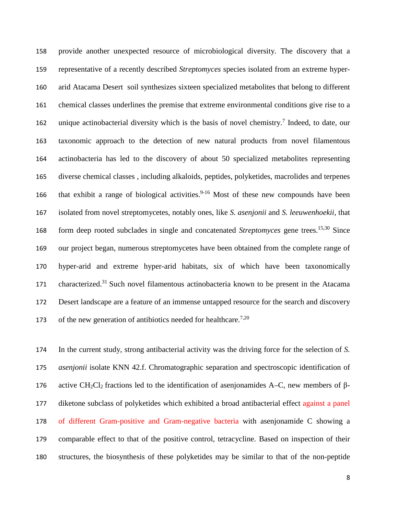provide another unexpected resource of microbiological diversity. The discovery that a representative of a recently described *Streptomyces* species isolated from an extreme hyper- arid Atacama Desert soil synthesizes sixteen specialized metabolites that belong to different chemical classes underlines the premise that extreme environmental conditions give rise to a 162 unique actinobacterial diversity which is the basis of novel chemistry.<sup>7</sup> Indeed, to date, our taxonomic approach to the detection of new natural products from novel filamentous actinobacteria has led to the discovery of about 50 specialized metabolites representing diverse chemical classes , including alkaloids, peptides, polyketides, macrolides and terpenes 166 that exhibit a range of biological activities.<sup>9-16</sup> Most of these new compounds have been isolated from novel streptomycetes, notably ones, like *S. asenjonii* and *S. leeuwenhoekii*, that 168 form deep rooted subclades in single and concatenated *Streptomyces* gene trees.<sup>15,30</sup> Since our project began, numerous streptomycetes have been obtained from the complete range of hyper-arid and extreme hyper-arid habitats, six of which have been taxonomically 171 characterized.<sup>31</sup> Such novel filamentous actinobacteria known to be present in the Atacama Desert landscape are a feature of an immense untapped resource for the search and discovery 173 of the new generation of antibiotics needed for healthcare.<sup>7,20</sup>

 In the current study, strong antibacterial activity was the driving force for the selection of *S. asenjonii* isolate KNN 42.f. Chromatographic separation and spectroscopic identification of 176 active CH<sub>2</sub>Cl<sub>2</sub> fractions led to the identification of asenjonamides A–C, new members of β- diketone subclass of polyketides which exhibited a broad antibacterial effect against a panel of different Gram-positive and Gram-negative bacteria with asenjonamide C showing a comparable effect to that of the positive control, tetracycline. Based on inspection of their structures, the biosynthesis of these polyketides may be similar to that of the non-peptide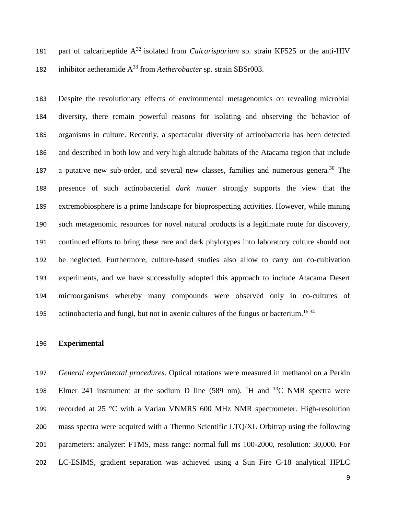181 part of calcaripeptide  $A^{32}$  isolated from *Calcarisporium* sp. strain KF525 or the anti-HIV 182 inhibitor aetheramide  $A^{33}$  from *Aetherobacter* sp. strain SBSr003.

 Despite the revolutionary effects of environmental metagenomics on revealing microbial diversity, there remain powerful reasons for isolating and observing the behavior of organisms in culture. Recently, a spectacular diversity of actinobacteria has been detected and described in both low and very high altitude habitats of the Atacama region that include 187 a putative new sub-order, and several new classes, families and numerous genera.<sup>30</sup> The presence of such actinobacterial *dark matter* strongly supports the view that the extremobiosphere is a prime landscape for bioprospecting activities. However, while mining such metagenomic resources for novel natural products is a legitimate route for discovery, continued efforts to bring these rare and dark phylotypes into laboratory culture should not be neglected. Furthermore, culture-based studies also allow to carry out co-cultivation experiments, and we have successfully adopted this approach to include Atacama Desert microorganisms whereby many compounds were observed only in co-cultures of 195 actinobacteria and fungi, but not in axenic cultures of the fungus or bacterium.<sup>16,34</sup>

#### **Experimental**

 *General experimental procedures*. Optical rotations were measured in methanol on a Perkin 198 Elmer 241 instrument at the sodium D line  $(589 \text{ nm})$ . <sup>1</sup>H and <sup>13</sup>C NMR spectra were recorded at 25 °C with a Varian VNMRS 600 MHz NMR spectrometer. High-resolution mass spectra were acquired with a Thermo Scientific LTQ/XL Orbitrap using the following parameters: analyzer: FTMS, mass range: normal full ms 100-2000, resolution: 30,000. For LC-ESIMS, gradient separation was achieved using a Sun Fire C-18 analytical HPLC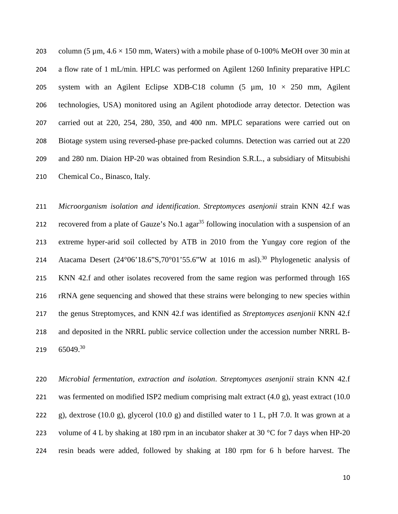203 column (5  $\mu$ m,  $4.6 \times 150$  mm, Waters) with a mobile phase of 0-100% MeOH over 30 min at a flow rate of 1 mL/min. HPLC was performed on Agilent 1260 Infinity preparative HPLC 205 system with an Agilent Eclipse XDB-C18 column  $(5 \mu m, 10 \times 250 \mu m,$  Agilent technologies, USA) monitored using an Agilent photodiode array detector. Detection was carried out at 220, 254, 280, 350, and 400 nm. MPLC separations were carried out on Biotage system using reversed-phase pre-packed columns. Detection was carried out at 220 and 280 nm. Diaion HP-20 was obtained from Resindion S.R.L., a subsidiary of Mitsubishi Chemical Co., Binasco, Italy.

 *Microorganism isolation and identification*. *Streptomyces asenjonii* strain KNN 42.f was 212 recovered from a plate of Gauze's No.1 agar<sup>35</sup> following inoculation with a suspension of an extreme hyper-arid soil collected by ATB in 2010 from the Yungay core region of the 214 Atacama Desert  $(24^{\circ}06'18.6''S,70^{\circ}01'55.6''W$  at 1016 m asl).<sup>30</sup> Phylogenetic analysis of KNN 42.f and other isolates recovered from the same region was performed through 16S rRNA gene sequencing and showed that these strains were belonging to new species within the genus Streptomyces, and KNN 42.f was identified as *Streptomyces asenjonii* KNN 42.f and deposited in the NRRL public service collection under the accession number NRRL B- $65049.^{30}$ 

 *Microbial fermentation, extraction and isolation*. *Streptomyces asenjonii* strain KNN 42.f was fermented on modified ISP2 medium comprising malt extract (4.0 g), yeast extract (10.0 222 g), dextrose (10.0 g), glycerol (10.0 g) and distilled water to 1 L, pH 7.0. It was grown at a 223 volume of 4 L by shaking at 180 rpm in an incubator shaker at 30  $\degree$ C for 7 days when HP-20 resin beads were added, followed by shaking at 180 rpm for 6 h before harvest. The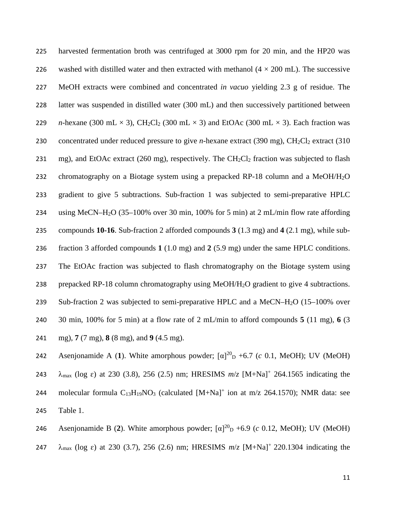harvested fermentation broth was centrifuged at 3000 rpm for 20 min, and the HP20 was 226 washed with distilled water and then extracted with methanol  $(4 \times 200 \text{ mL})$ . The successive MeOH extracts were combined and concentrated *in vacuo* yielding 2.3 g of residue. The latter was suspended in distilled water (300 mL) and then successively partitioned between *n*-hexane (300 mL  $\times$  3), CH<sub>2</sub>Cl<sub>2</sub> (300 mL  $\times$  3) and EtOAc (300 mL  $\times$  3). Each fraction was 230 concentrated under reduced pressure to give *n*-hexane extract (390 mg), CH<sub>2</sub>Cl<sub>2</sub> extract (310 231 mg), and EtOAc extract (260 mg), respectively. The  $CH_2Cl_2$  fraction was subjected to flash 232 chromatography on a Biotage system using a prepacked RP-18 column and a MeOH/H<sub>2</sub>O gradient to give 5 subtractions. Sub-fraction 1 was subjected to semi-preparative HPLC using MeCN–H2O (35–100% over 30 min, 100% for 5 min) at 2 mL/min flow rate affording compounds **10-16**. Sub-fraction 2 afforded compounds **3** (1.3 mg) and **4** (2.1 mg), while sub- fraction 3 afforded compounds **1** (1.0 mg) and **2** (5.9 mg) under the same HPLC conditions. The EtOAc fraction was subjected to flash chromatography on the Biotage system using prepacked RP-18 column chromatography using MeOH/H2O gradient to give 4 subtractions. 239 Sub-fraction 2 was subjected to semi-preparative HPLC and a MeCN–H<sub>2</sub>O (15–100% over 30 min, 100% for 5 min) at a flow rate of 2 mL/min to afford compounds **5** (11 mg), **6** (3 mg), **7** (7 mg), **8** (8 mg), and **9** (4.5 mg).

Asenjonamide A (1). White amorphous powder;  $\lbrack \alpha \rbrack^{20}$  +6.7 (*c* 0.1, MeOH); UV (MeOH) 243  $\lambda_{\text{max}}$  (log  $\varepsilon$ ) at 230 (3.8), 256 (2.5) nm; HRESIMS  $m/z$  [M+Na]<sup>+</sup> 264.1565 indicating the 244 molecular formula  $C_{13}H_{19}NO_3$  (calculated  $[M+Na]^+$  ion at m/z 264.1570); NMR data: see 245 Table 1.

Asenjonamide B (2). White amorphous powder;  $\left[\alpha\right]^{20}$  +6.9 (*c* 0.12, MeOH); UV (MeOH)

247  $\lambda_{\text{max}}$  (log  $\varepsilon$ ) at 230 (3.7), 256 (2.6) nm; HRESIMS  $m/z$  [M+Na]<sup>+</sup> 220.1304 indicating the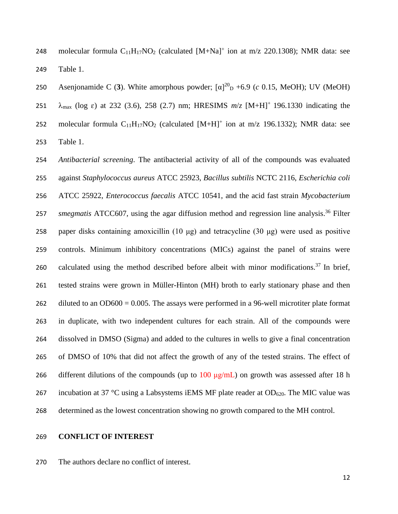248 molecular formula  $C_{11}H_{17}NO_2$  (calculated  $[M+Na]^+$  ion at m/z 220.1308); NMR data: see Table 1.

250 Asenjonamide C (3). White amorphous powder;  $\lceil \alpha \rceil^{20}$  +6.9 (*c* 0.15, MeOH); UV (MeOH) 251  $\lambda_{\text{max}}$  (log  $\varepsilon$ ) at 232 (3.6), 258 (2.7) nm; HRESIMS  $m/z$  [M+H]<sup>+</sup> 196.1330 indicating the 252 molecular formula  $C_{11}H_{17}NO_2$  (calculated  $[M+H]^+$  ion at m/z 196.1332); NMR data: see Table 1.

 *Antibacterial screening*. The antibacterial activity of all of the compounds was evaluated against *Staphylococcus aureus* ATCC 25923, *Bacillus subtilis* NCTC 2116, *Escherichia coli* ATCC 25922, *Enterococcus faecalis* ATCC 10541, and the acid fast strain *Mycobacterium smegmatis* ATCC607, using the agar diffusion method and regression line analysis.<sup>36</sup> Filter paper disks containing amoxicillin (10 μg) and tetracycline (30 μg) were used as positive controls. Minimum inhibitory concentrations (MICs) against the panel of strains were 260 calculated using the method described before albeit with minor modifications.<sup>37</sup> In brief, tested strains were grown in Müller-Hinton (MH) broth to early stationary phase and then 262 diluted to an OD600 = 0.005. The assays were performed in a 96-well microtiter plate format in duplicate, with two independent cultures for each strain. All of the compounds were dissolved in DMSO (Sigma) and added to the cultures in wells to give a final concentration of DMSO of 10% that did not affect the growth of any of the tested strains. The effect of 266 different dilutions of the compounds (up to  $100 \mu g/mL$ ) on growth was assessed after 18 h 267 incubation at 37 °C using a Labsystems iEMS MF plate reader at  $OD_{620}$ . The MIC value was determined as the lowest concentration showing no growth compared to the MH control.

#### **CONFLICT OF INTEREST**

The authors declare no conflict of interest.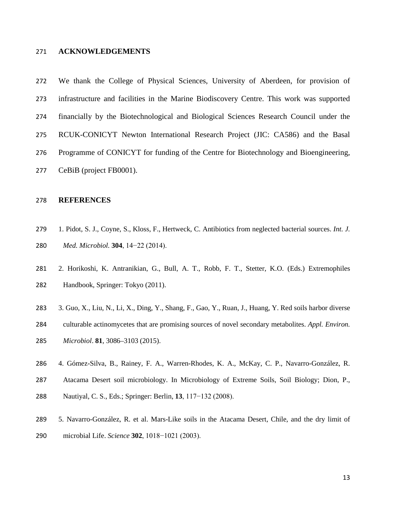#### **ACKNOWLEDGEMENTS**

 We thank the College of Physical Sciences, University of Aberdeen, for provision of infrastructure and facilities in the Marine Biodiscovery Centre. This work was supported financially by the Biotechnological and Biological Sciences Research Council under the RCUK-CONICYT Newton International Research Project (JIC: CA586) and the Basal Programme of CONICYT for funding of the Centre for Biotechnology and Bioengineering,

CeBiB (project FB0001).

## **REFERENCES**

- 1. Pidot, S. J., Coyne, S., Kloss, F., Hertweck, C. Antibiotics from neglected bacterial sources. *Int. J. Med. Microbiol.* **304**, 14−22 (2014).
- 2. Horikoshi, K. Antranikian, G., Bull, A. T., Robb, F. T., Stetter, K.O. (Eds.) Extremophiles Handbook, Springer: Tokyo (2011).
- 3. Guo, X., Liu, N., Li, X., Ding, Y., Shang, F., Gao, Y., Ruan, J., Huang, Y. Red soils harbor diverse
- culturable actinomycetes that are promising sources of novel secondary metabolites. *Appl. Environ. Microbiol*. **81**, 3086–3103 (2015).
- 4. Gómez-Silva, B., Rainey, F. A., Warren-Rhodes, K. A., McKay, C. P., Navarro-González, R.
- Atacama Desert soil microbiology. In Microbiology of Extreme Soils, Soil Biology; Dion, P.,
- Nautiyal, C. S., Eds.; Springer: Berlin, **13**, 117−132 (2008).
- 5. Navarro-González, R. et al. Mars-Like soils in the Atacama Desert, Chile, and the dry limit of microbial Life. *Science* **302**, 1018−1021 (2003).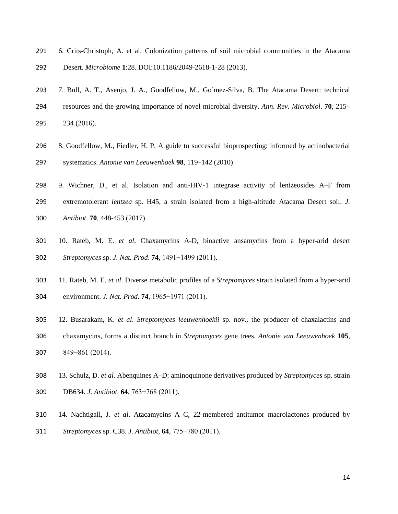6. Crits-Christoph, A. et al. Colonization patterns of soil microbial communities in the Atacama

Desert. *Microbiome* **1**:28. DOI:10.1186/2049-2618-1-28 (2013).

- 7. Bull, A. T., Asenjo, J. A., Goodfellow, M., Go´mez-Silva, B. The Atacama Desert: technical resources and the growing importance of novel microbial diversity. *Ann. Rev. Microbiol*. **70**, 215– 234 (2016).
- 8. Goodfellow, M., Fiedler, H. P. A guide to successful bioprospecting: informed by actinobacterial systematics. *Antonie van Leeuwenhoek* **98**, 119–142 (2010)
- 9. Wichner, D., et al. Isolation and anti-HIV-1 integrase activity of lentzeosides A–F from extremotolerant *lentzea* sp. H45, a strain isolated from a high-altitude Atacama Desert soil. *J. Antibiot*. **70**, 448-453 (2017).
- 10. Rateb, M. E. *et al*. Chaxamycins A-D, bioactive ansamycins from a hyper-arid desert *Streptomyces* sp. *J. Nat. Prod*. **74**, 1491−1499 (2011).
- 11. Rateb, M. E. *et al*. Diverse metabolic profiles of a *Streptomyces* strain isolated from a hyper-arid environment. *J. Nat. Prod*. **74**, 1965−1971 (2011).
- 12. Busarakam, K. *et al*. *Streptomyces leeuwenhoekii* sp. nov., the producer of chaxalactins and chaxamycins, forms a distinct branch in *Streptomyces* gene trees. *Antonie van Leeuwenhoek* **105**,
- 849−861 (2014).
- 13. Schulz, D. *et al*. Abenquines A–D: aminoquinone derivatives produced by *Streptomyces* sp. strain DB634. *J. Antibiot*. **64**, 763−768 (2011).
- 14. Nachtigall, J. *et al*. Atacamycins A–C, 22-membered antitumor macrolactones produced by
- *Streptomyces* sp. C38. *J. Antibiot*, **64**, 775−780 (2011).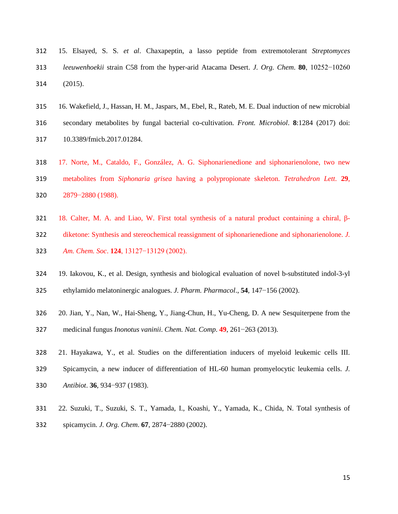- 15. Elsayed, S. S. *et al*. Chaxapeptin, a lasso peptide from extremotolerant *Streptomyces leeuwenhoekii* strain C58 from the hyper-arid Atacama Desert. *J. Org. Chem*. **80**, 10252−10260 (2015).
- 16. Wakefield, J., Hassan, H. M., Jaspars, M., Ebel, R., Rateb, M. E. Dual induction of new microbial secondary metabolites by fungal bacterial co-cultivation. *Front. Microbiol*. **8**:1284 (2017) doi: 10.3389/fmicb.2017.01284.
- 17. Norte, M., Cataldo, F., González, A. G. Siphonarienedione and siphonarienolone, two new metabolites from *Siphonaria grisea* having a polypropionate skeleton. *Tetrahedron Lett*. **29**, 2879−2880 (1988).
- 18. Calter, M. A. and Liao, W. First total synthesis of a natural product containing a chiral, β- diketone: Synthesis and stereochemical reassignment of siphonarienedione and siphonarienolone. *J. Am. Chem. Soc*. **124**, 13127−13129 (2002).
- 19. Iakovou, K., et al. Design, synthesis and biological evaluation of novel b-substituted indol-3-yl
- ethylamido melatoninergic analogues. *J. Pharm. Pharmacol*., **54**, 147−156 (2002).
- 20. Jian, Y., Nan, W., Hai-Sheng, Y., Jiang-Chun, H., Yu-Cheng, D. A new Sesquiterpene from the medicinal fungus *Inonotus vaninii*. *Chem. Nat. Comp*. **49**, 261−263 (2013).
- 21. Hayakawa, Y., et al. Studies on the differentiation inducers of myeloid leukemic cells III. Spicamycin, a new inducer of differentiation of HL-60 human promyelocytic leukemia cells. *J. Antibiot*. **36**, 934−937 (1983).
- 22. Suzuki, T., Suzuki, S. T., Yamada, I., Koashi, Y., Yamada, K., Chida, N. Total synthesis of
- spicamycin. *J. Org. Chem*. **67**, 2874−2880 (2002).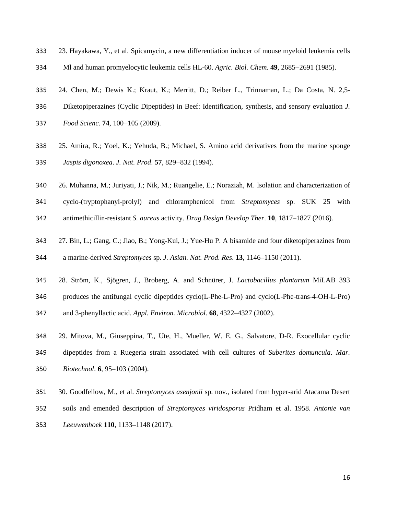- 23. Hayakawa, Y., et al. Spicamycin, a new differentiation inducer of mouse myeloid leukemia cells
- Ml and human promyelocytic leukemia cells HL-60. *Agric. Biol. Chem*. **49**, 2685−2691 (1985).
- 24. Chen, M.; Dewis K.; Kraut, K.; Merritt, D.; Reiber L., Trinnaman, L.; Da Costa, N. 2,5-
- Diketopiperazines (Cyclic Dipeptides) in Beef: Identification, synthesis, and sensory evaluation *J.*
- *Food Scienc*. **74**, 100−105 (2009).
- 25. Amira, R.; Yoel, K.; Yehuda, B.; Michael, S. Amino acid derivatives from the marine sponge *Jaspis digonoxea*. *J. Nat. Prod*. **57**, 829−832 (1994).
- 26. Muhanna, M.; Juriyati, J.; Nik, M.; Ruangelie, E.; Noraziah, M. Isolation and characterization of
- cyclo-(tryptophanyl-prolyl) and chloramphenicol from *Streptomyces* sp. SUK 25 with
- antimethicillin-resistant *S. aureus* activity. *Drug Design Develop Ther*. **10**, 1817–1827 (2016).
- 27. Bin, L.; Gang, C.; Jiao, B.; Yong-Kui, J.; Yue-Hu P. A bisamide and four diketopiperazines from
- a marine-derived *Streptomyces* sp. *J. Asian. Nat. Prod. Res*. **13**, 1146–1150 (2011).
- 28. Ström, K., Sjögren, J., Broberg, A. and Schnürer, J. *Lactobacillus plantarum* MiLAB 393
- produces the antifungal cyclic dipeptides cyclo(L-Phe-L-Pro) and cyclo(L-Phe-trans-4-OH-L-Pro)
- and 3-phenyllactic acid. *Appl. Environ. Microbiol*. **68**, 4322–4327 (2002).
- 29. Mitova, M., Giuseppina, T., Ute, H., Mueller, W. E. G., Salvatore, D-R. Exocellular cyclic dipeptides from a Ruegeria strain associated with cell cultures of *Suberites domuncula*. *Mar. Biotechnol*. **6**, 95–103 (2004).
- 30. Goodfellow, M., et al. *Streptomyces asenjonii* sp. nov., isolated from hyper-arid Atacama Desert
- soils and emended description of *Streptomyces viridosporus* Pridham et al. 1958. *Antonie van*
- *Leeuwenhoek* **110**, 1133–1148 (2017).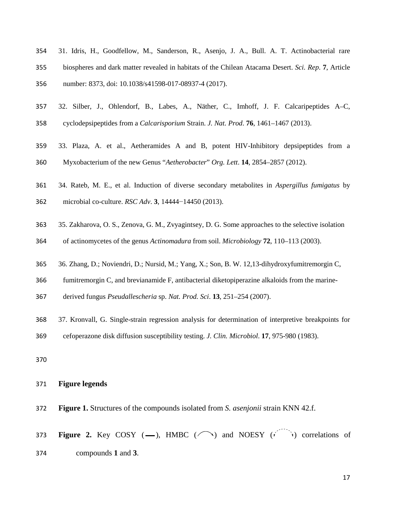- 31. Idris, H., Goodfellow, M., Sanderson, R., Asenjo, J. A., Bull. A. T. Actinobacterial rare biospheres and dark matter revealed in habitats of the Chilean Atacama Desert. *Sci. Rep*. **7**, Article number: 8373, doi: 10.1038/s41598-017-08937-4 (2017).
- 32. Silber, J., Ohlendorf, B., Labes, A., Näther, C., Imhoff, J. F. Calcaripeptides A–C, cyclodepsipeptides from a *Calcarisporium* Strain. *J. Nat. Prod*. **76**, 1461–1467 (2013).
- 33. Plaza, A. et al., Aetheramides A and B, potent HIV-Inhibitory depsipeptides from a
- Myxobacterium of the new Genus "*Aetherobacter*" *Org. Lett*. **14**, 2854–2857 (2012).
- 34. Rateb, M. E., et al. Induction of diverse secondary metabolites in *Aspergillus fumigatus* by
- microbial co-culture. *RSC Adv*. **3**, 14444−14450 (2013).
- 35. Zakharova, O. S., Zenova, G. M., Zvyagintsey, D. G. Some approaches to the selective isolation
- of actinomycetes of the genus *Actinomadura* from soil. *Microbiology* **72**, 110–113 (2003).
- 36. Zhang, D.; Noviendri, D.; Nursid, M.; Yang, X.; Son, B. W. 12,13-dihydroxyfumitremorgin C,
- fumitremorgin C, and brevianamide F, antibacterial diketopiperazine alkaloids from the marine-
- derived fungus *Pseudallescheria* sp. *Nat. Prod. Sci*. **13**, 251–254 (2007).
- 37. Kronvall, G. Single-strain regression analysis for determination of interpretive breakpoints for
- cefoperazone disk diffusion susceptibility testing. *J. Clin. Microbiol*. **17**, 975-980 (1983).
- 

## **Figure legends**

**Figure 1.** Structures of the compounds isolated from *S. asenjonii* strain KNN 42.f.

**373 Figure 2.** Key COSY  $(-)$ , HMBC  $(\bigcap)$  and NOESY  $(\bigcap)$  correlations of compounds **1** and **3**.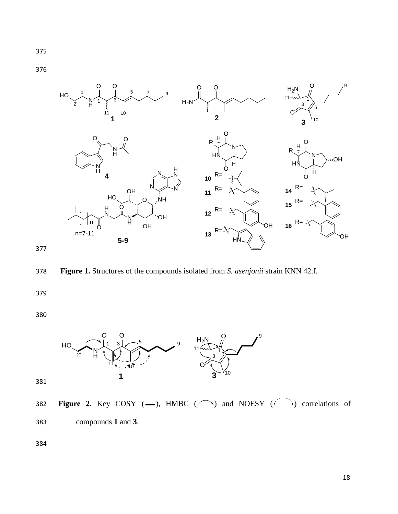$H_2N$ O O O O N H HO **4 1 2** 1  $\times$  3 5 7 9  $1^{10}$ 1' 2' O O  $H<sub>2</sub>N$ **3** O OH  $\mathsf{HO}_{\diagdown}$  o NH N N  $N_{\infty}$ H  $11$  map  $\frac{1}{1}$ 5 10 HN N R O O  $\overline{H}$ H **<sup>10</sup>** R= **11**  $R=$ N H O N H O HN N R O O  $\tilde{H}$ H **<sup>14</sup>** R= **<sup>15</sup>** R=

**<sup>12</sup>** R=

**<sup>13</sup>** R=

HN

OH

**16**  $R=$ 



**5-9**

O

H N

O

n n=7-11 N H

ŌΗ

**OH** 

378 **Figure 1.** Structures of the compounds isolated from *S. asenjonii* strain KNN 42.f.

379

380



382 **Figure 2.** Key COSY (-), HMBC ( $\bigcap$ ) and NOESY ( $\bigcap$ ) correlations of 383 compounds **1** and **3**.

384

9

OH

OH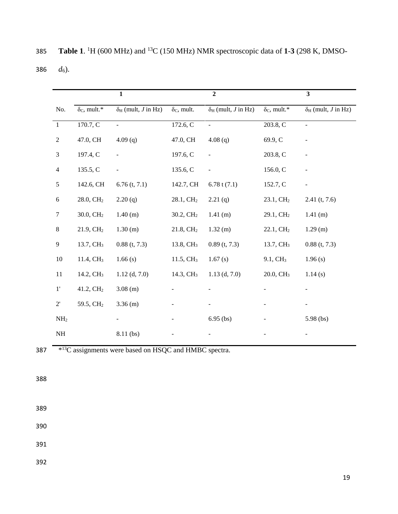*d*6). **2 3** No.  $\delta_c$ , mult.\*  $\delta_H$  (mult, *J* in Hz)  $\delta_c$ , mult.  $\delta_H$  (mult, *J* in Hz)  $\delta_c$ , mult.\*  $\delta_H$  (mult, *J* in Hz) 1 170.7, C - 172.6, C - 203.8, C - 47.0, CH 4.09 (q) 47.0, CH 4.08 (q) 69.9, C - 3 197.4, C - 197.6, C - 203.8, C -

**Table 1**. <sup>1</sup>H (600 MHz) and <sup>13</sup>C (150 MHz) NMR spectroscopic data of **1-3** (298 K, DMSO-

|                 |                           | $\mathbf{1}$                     |                       | $\overline{2}$                          |                           | $\overline{\mathbf{3}}$                 |
|-----------------|---------------------------|----------------------------------|-----------------------|-----------------------------------------|---------------------------|-----------------------------------------|
| No.             | $\delta_{\rm C}$ , mult.* | $\delta_{\rm H}$ (mult, J in Hz) | $\delta_{C}$ , mult.  | $\delta_{\rm H}$ (mult, <i>J</i> in Hz) | $\delta_{\rm C}$ , mult.* | $\delta_{\rm H}$ (mult, <i>J</i> in Hz) |
| $\mathbf{1}$    | 170.7, C                  | $\overline{\phantom{a}}$         | 172.6, C              | $\overline{\phantom{a}}$                | 203.8, C                  | $\blacksquare$                          |
| $\sqrt{2}$      | 47.0, CH                  | 4.09(q)                          | 47.0, CH              | 4.08(q)                                 | 69.9, C                   |                                         |
| $\mathfrak{Z}$  | 197.4, C                  | $\blacksquare$                   | 197.6, C              |                                         | 203.8, C                  |                                         |
| $\overline{4}$  | 135.5, C                  | $\blacksquare$                   | 135.6, C              |                                         | 156.0, C                  |                                         |
| 5               | 142.6, CH                 | $6.76$ (t, 7.1)                  | 142.7, CH             | 6.78 t $(7.1)$                          | 152.7, C                  | $\overline{\phantom{a}}$                |
| $\sqrt{6}$      | 28.0, CH <sub>2</sub>     | 2.20(q)                          | 28.1, CH <sub>2</sub> | 2.21(q)                                 | 23.1, CH <sub>2</sub>     | $2.41$ (t, 7.6)                         |
| $\tau$          | 30.0, CH <sub>2</sub>     | 1.40(m)                          | 30.2, CH <sub>2</sub> | $1.41$ (m)                              | 29.1, CH <sub>2</sub>     | 1.41(m)                                 |
| $\,8\,$         | 21.9, CH <sub>2</sub>     | 1.30 (m)                         | 21.8, CH <sub>2</sub> | 1.32(m)                                 | 22.1, CH <sub>2</sub>     | 1.29(m)                                 |
| $\overline{9}$  | 13.7, CH <sub>3</sub>     | $0.88$ (t, 7.3)                  | 13.8, CH <sub>3</sub> | $0.89$ (t, 7.3)                         | 13.7, CH <sub>3</sub>     | $0.88$ (t, 7.3)                         |
| $10\,$          | 11.4, CH <sub>3</sub>     | 1.66(s)                          | 11.5, CH <sub>3</sub> | 1.67(s)                                 | 9.1, CH <sub>3</sub>      | 1.96(s)                                 |
| 11              | 14.2, CH <sub>3</sub>     | $1.12$ (d, 7.0)                  | 14.3, CH <sub>3</sub> | $1.13$ (d, 7.0)                         | 20.0, CH <sub>3</sub>     | 1.14(s)                                 |
| $1^{\prime}$    | 41.2, CH <sub>2</sub>     | $3.08$ (m)                       |                       |                                         |                           |                                         |
| $2^\circ$       | 59.5, CH <sub>2</sub>     | $3.36$ (m)                       |                       |                                         |                           |                                         |
| NH <sub>2</sub> |                           |                                  |                       | $6.95$ (bs)                             |                           | $5.98$ (bs)                             |
| NH              |                           | 8.11 (bs)                        |                       |                                         |                           |                                         |

 $\frac{137}{2}$   $\frac{13}{2}$  assignments were based on HSQC and HMBC spectra.